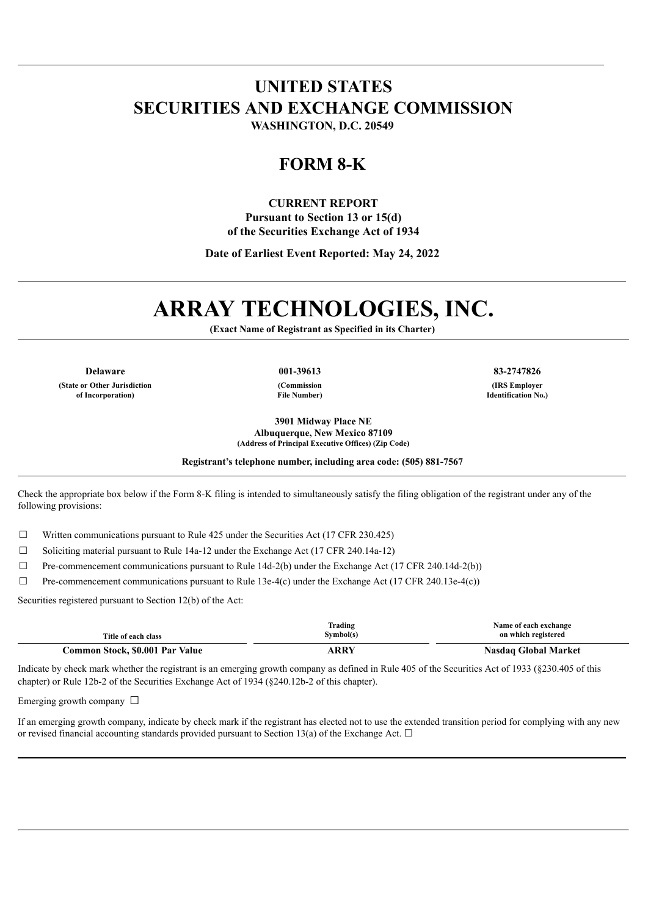## **UNITED STATES SECURITIES AND EXCHANGE COMMISSION WASHINGTON, D.C. 20549**

## **FORM 8-K**

#### **CURRENT REPORT**

**Pursuant to Section 13 or 15(d) of the Securities Exchange Act of 1934**

**Date of Earliest Event Reported: May 24, 2022**

# **ARRAY TECHNOLOGIES, INC.**

**(Exact Name of Registrant as Specified in its Charter)**

**Delaware 001-39613 83-2747826 (State or Other Jurisdiction of Incorporation)**

**(Commission File Number)** **(IRS Employer**

**Identification No.)**

**3901 Midway Place NE Albuquerque, New Mexico 87109 (Address of Principal Executive Offices) (Zip Code)**

**Registrant's telephone number, including area code: (505) 881-7567**

Check the appropriate box below if the Form 8-K filing is intended to simultaneously satisfy the filing obligation of the registrant under any of the following provisions:

 $\Box$  Written communications pursuant to Rule 425 under the Securities Act (17 CFR 230.425)

 $\Box$  Soliciting material pursuant to Rule 14a-12 under the Exchange Act (17 CFR 240.14a-12)

 $\Box$  Pre-commencement communications pursuant to Rule 14d-2(b) under the Exchange Act (17 CFR 240.14d-2(b))

 $\Box$  Pre-commencement communications pursuant to Rule 13e-4(c) under the Exchange Act (17 CFR 240.13e-4(c))

Securities registered pursuant to Section 12(b) of the Act:

| Title of each class             | Trading<br>Symbol(s) | Name of each exchange<br>on which registered |
|---------------------------------|----------------------|----------------------------------------------|
| Common Stock, \$0.001 Par Value | ARRY                 | <b>Nasdaq Global Market</b>                  |

Indicate by check mark whether the registrant is an emerging growth company as defined in Rule 405 of the Securities Act of 1933 (§230.405 of this chapter) or Rule 12b-2 of the Securities Exchange Act of 1934 (§240.12b-2 of this chapter).

Emerging growth company  $\Box$ 

If an emerging growth company, indicate by check mark if the registrant has elected not to use the extended transition period for complying with any new or revised financial accounting standards provided pursuant to Section 13(a) of the Exchange Act.  $\Box$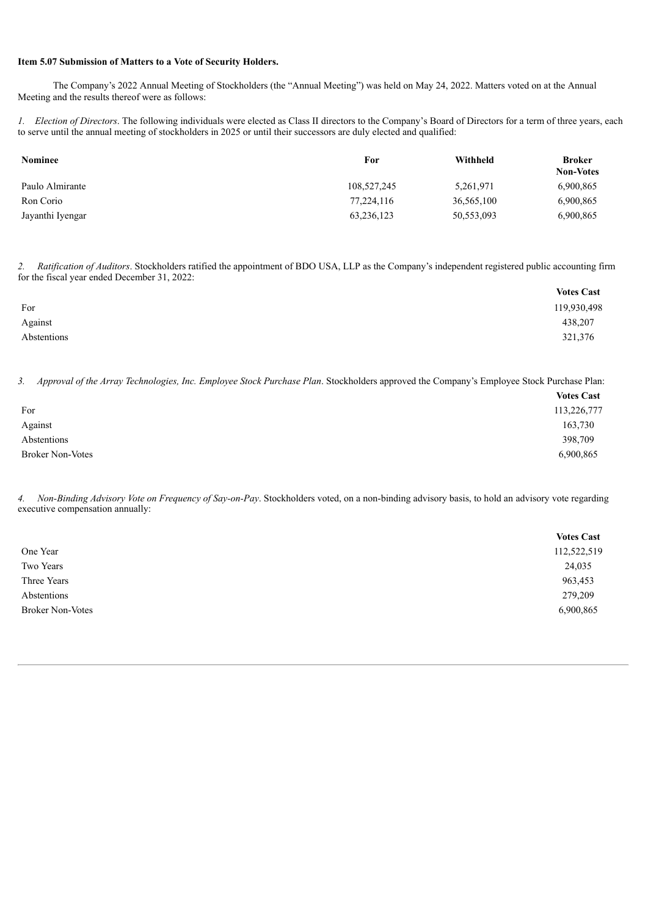#### **Item 5.07 Submission of Matters to a Vote of Security Holders.**

The Company's 2022 Annual Meeting of Stockholders (the "Annual Meeting") was held on May 24, 2022. Matters voted on at the Annual Meeting and the results thereof were as follows:

*1. Election of Directors*. The following individuals were elected as Class II directors to the Company's Board of Directors for a term of three years, each to serve until the annual meeting of stockholders in 2025 or until their successors are duly elected and qualified:

| <b>Nominee</b>   | For         | Withheld   | <b>Broker</b><br><b>Non-Votes</b> |
|------------------|-------------|------------|-----------------------------------|
| Paulo Almirante  | 108,527,245 | 5,261,971  | 6,900,865                         |
| Ron Corio        | 77.224.116  | 36,565,100 | 6,900,865                         |
| Jayanthi Iyengar | 63,236,123  | 50,553,093 | 6,900,865                         |

*2. Ratification of Auditors*. Stockholders ratified the appointment of BDO USA, LLP as the Company's independent registered public accounting firm for the fiscal year ended December 31, 2022:

|             | <b>Votes Cast</b> |
|-------------|-------------------|
| For         | 119,930,498       |
| Against     | 438,207           |
| Abstentions | 321,376           |

*3. Approval of the Array Technologies, Inc. Employee Stock Purchase Plan*. Stockholders approved the Company's Employee Stock Purchase Plan:

|                         | <b>Votes Cast</b> |
|-------------------------|-------------------|
| For                     | 113,226,777       |
| Against                 | 163,730           |
| Abstentions             | 398,709           |
| <b>Broker Non-Votes</b> | 6,900,865         |

*4. Non-Binding Advisory Vote on Frequency of Say-on-Pay*. Stockholders voted, on a non-binding advisory basis, to hold an advisory vote regarding executive compensation annually:

|                         | <b>Votes Cast</b> |
|-------------------------|-------------------|
| One Year                | 112,522,519       |
| Two Years               | 24,035            |
| Three Years             | 963,453           |
| Abstentions             | 279,209           |
| <b>Broker Non-Votes</b> | 6,900,865         |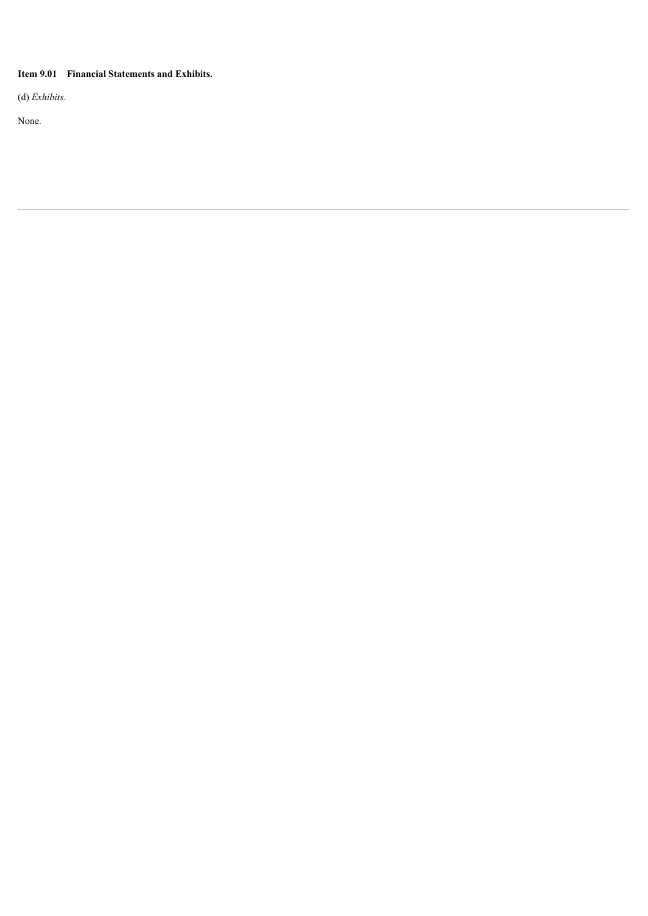### **Item 9.01 Financial Statements and Exhibits.**

(d) *Exhibits*.

None.